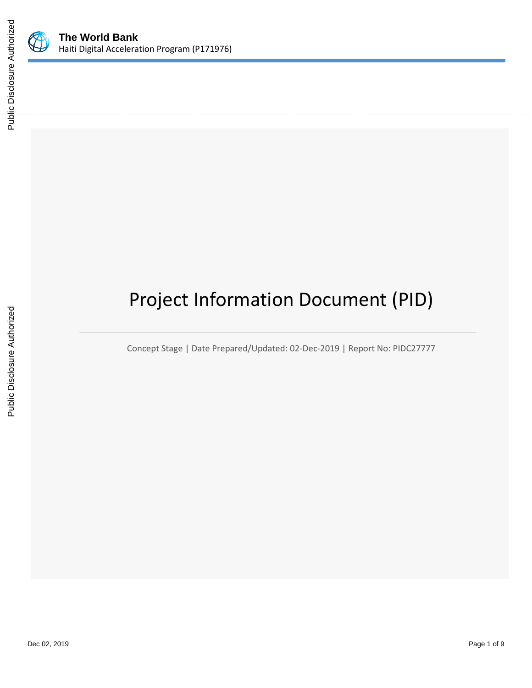

# Project Information Document (PID)

Concept Stage | Date Prepared/Updated: 02-Dec-2019 | Report No: PIDC27777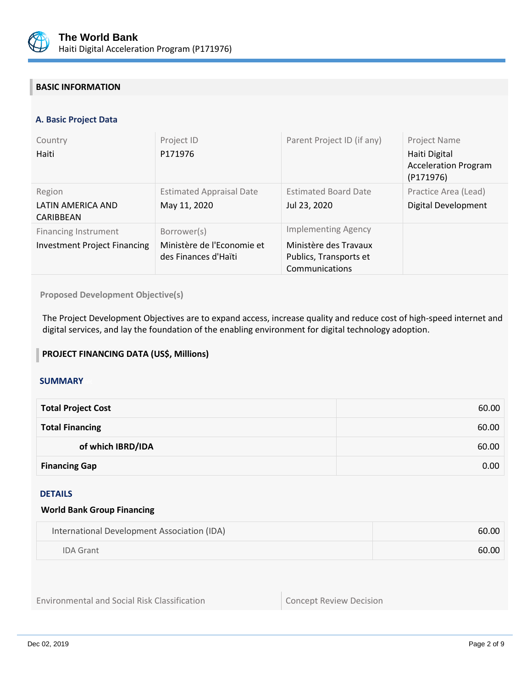

## **BASIC INFORMATION**

## **A. Basic Project Data**

| Country<br>Haiti                                                   | Project ID<br>P171976                                             | Parent Project ID (if any)                                                                      | Project Name<br>Haiti Digital<br><b>Acceleration Program</b><br>(P171976) |
|--------------------------------------------------------------------|-------------------------------------------------------------------|-------------------------------------------------------------------------------------------------|---------------------------------------------------------------------------|
| Region<br>LATIN AMERICA AND<br>CARIBBEAN                           | <b>Estimated Appraisal Date</b><br>May 11, 2020                   | <b>Estimated Board Date</b><br>Jul 23, 2020                                                     | Practice Area (Lead)<br>Digital Development                               |
| <b>Financing Instrument</b><br><b>Investment Project Financing</b> | Borrower(s)<br>Ministère de l'Economie et<br>des Finances d'Haïti | <b>Implementing Agency</b><br>Ministère des Travaux<br>Publics, Transports et<br>Communications |                                                                           |

**Proposed Development Objective(s)** 

The Project Development Objectives are to expand access, increase quality and reduce cost of high-speed internet and digital services, and lay the foundation of the enabling environment for digital technology adoption.

## **PROJECT FINANCING DATA (US\$, Millions)**

#### **SUMMARY**

| <b>Total Project Cost</b> | 60.00 |
|---------------------------|-------|
| <b>Total Financing</b>    | 60.00 |
| of which IBRD/IDA         | 60.00 |
| <b>Financing Gap</b>      | 0.00  |

## DETAILS

#### **World Bank Group Financing**

| International Development Association (IDA) | 60.00 |
|---------------------------------------------|-------|
| <b>IDA Grant</b>                            | 60.00 |

Environmental and Social Risk Classification **Concept Review Decision**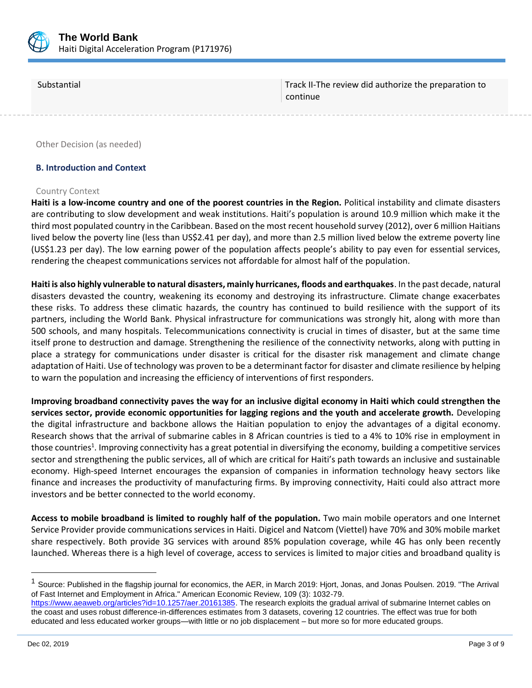

Substantial Track II-The review did authorize the preparation to continue

Other Decision (as needed)

#### **B. Introduction and Context**

#### Country Context

**Haiti is a low-income country and one of the poorest countries in the Region.** Political instability and climate disasters are contributing to slow development and weak institutions. Haiti's population is around 10.9 million which make it the third most populated country in the Caribbean. Based on the most recent household survey (2012), over 6 million Haitians lived below the poverty line (less than US\$2.41 per day), and more than 2.5 million lived below the extreme poverty line (US\$1.23 per day). The low earning power of the population affects people's ability to pay even for essential services, rendering the cheapest communications services not affordable for almost half of the population.

**Haiti is also highly vulnerable to natural disasters, mainly hurricanes, floods and earthquakes**. In the past decade, natural disasters devasted the country, weakening its economy and destroying its infrastructure. Climate change exacerbates these risks. To address these climatic hazards, the country has continued to build resilience with the support of its partners, including the World Bank. Physical infrastructure for communications was strongly hit, along with more than 500 schools, and many hospitals. Telecommunications connectivity is crucial in times of disaster, but at the same time itself prone to destruction and damage. Strengthening the resilience of the connectivity networks, along with putting in place a strategy for communications under disaster is critical for the disaster risk management and climate change adaptation of Haiti. Use of technology was proven to be a determinant factor for disaster and climate resilience by helping to warn the population and increasing the efficiency of interventions of first responders.

**Improving broadband connectivity paves the way for an inclusive digital economy in Haiti which could strengthen the services sector, provide economic opportunities for lagging regions and the youth and accelerate growth.** Developing the digital infrastructure and backbone allows the Haitian population to enjoy the advantages of a digital economy. Research shows that the arrival of submarine cables in 8 African countries is tied to a 4% to 10% rise in employment in those countries<sup>1</sup>. Improving connectivity has a great potential in diversifying the economy, building a competitive services sector and strengthening the public services, all of which are critical for Haiti's path towards an inclusive and sustainable economy. High-speed Internet encourages the expansion of companies in information technology heavy sectors like finance and increases the productivity of manufacturing firms. By improving connectivity, Haiti could also attract more investors and be better connected to the world economy.

**Access to mobile broadband is limited to roughly half of the population.** Two main mobile operators and one Internet Service Provider provide communications services in Haiti. Digicel and Natcom (Viettel) have 70% and 30% mobile market share respectively. Both provide 3G services with around 85% population coverage, while 4G has only been recently launched. Whereas there is a high level of coverage, access to services is limited to major cities and broadband quality is

<sup>&</sup>lt;sup>1</sup> Source: Published in the flagship journal for economics, the AER, in March 2019: Hjort, Jonas, and Jonas Poulsen. 2019. "The Arrival of Fast Internet and Employment in Africa." American Economic Review, 109 (3): 1032-79.

[https://www.aeaweb.org/articles?id=10.1257/aer.20161385.](https://www.aeaweb.org/articles?id=10.1257/aer.20161385) The research exploits the gradual arrival of submarine Internet cables on the coast and uses robust difference-in-differences estimates from 3 datasets, covering 12 countries. The effect was true for both educated and less educated worker groups—with little or no job displacement – but more so for more educated groups.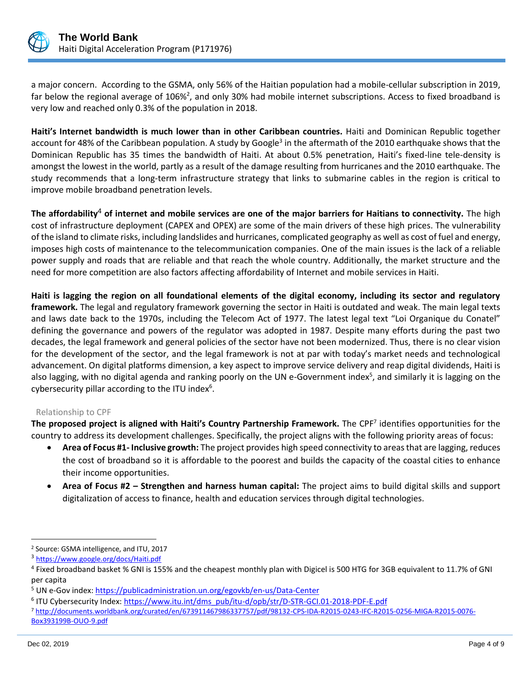

a major concern. According to the GSMA, only 56% of the Haitian population had a mobile-cellular subscription in 2019, far below the regional average of 106%<sup>2</sup>, and only 30% had mobile internet subscriptions. Access to fixed broadband is very low and reached only 0.3% of the population in 2018.

**Haiti's Internet bandwidth is much lower than in other Caribbean countries.** Haiti and Dominican Republic together account for 48% of the Caribbean population. A study by Google<sup>3</sup> in the aftermath of the 2010 earthquake shows that the Dominican Republic has 35 times the bandwidth of Haiti. At about 0.5% penetration, Haiti's fixed-line tele-density is amongst the lowest in the world, partly as a result of the damage resulting from hurricanes and the 2010 earthquake. The study recommends that a long-term infrastructure strategy that links to submarine cables in the region is critical to improve mobile broadband penetration levels.

**The affordability**<sup>4</sup> **of internet and mobile services are one of the major barriers for Haitians to connectivity.** The high cost of infrastructure deployment (CAPEX and OPEX) are some of the main drivers of these high prices. The vulnerability of the island to climate risks, including landslides and hurricanes, complicated geography as well as cost of fuel and energy, imposes high costs of maintenance to the telecommunication companies. One of the main issues is the lack of a reliable power supply and roads that are reliable and that reach the whole country. Additionally, the market structure and the need for more competition are also factors affecting affordability of Internet and mobile services in Haiti.

**Haiti is lagging the region on all foundational elements of the digital economy, including its sector and regulatory framework.** The legal and regulatory framework governing the sector in Haiti is outdated and weak. The main legal texts and laws date back to the 1970s, including the Telecom Act of 1977. The latest legal text "Loi Organique du Conatel" defining the governance and powers of the regulator was adopted in 1987. Despite many efforts during the past two decades, the legal framework and general policies of the sector have not been modernized. Thus, there is no clear vision for the development of the sector, and the legal framework is not at par with today's market needs and technological advancement. On digital platforms dimension, a key aspect to improve service delivery and reap digital dividends, Haiti is also lagging, with no digital agenda and ranking poorly on the UN e-Government index<sup>5</sup>, and similarly it is lagging on the cybersecurity pillar according to the ITU index $6$ .

## Relationship to CPF

The proposed project is aligned with Haiti's Country Partnership Framework. The CPF<sup>7</sup> identifies opportunities for the country to address its development challenges. Specifically, the project aligns with the following priority areas of focus:

- **Area of Focus #1- Inclusive growth:** The project provides high speed connectivity to areas that are lagging, reduces the cost of broadband so it is affordable to the poorest and builds the capacity of the coastal cities to enhance their income opportunities.
- **Area of Focus #2 – Strengthen and harness human capital:** The project aims to build digital skills and support digitalization of access to finance, health and education services through digital technologies.

<sup>2</sup> Source: GSMA intelligence, and ITU, 2017

<sup>3</sup> https://www.google.org/docs/Haiti.pdf

<sup>&</sup>lt;sup>4</sup> Fixed broadband basket % GNI is 155% and the cheapest monthly plan with Digicel is 500 HTG for 3GB equivalent to 11.7% of GNI per capita

<sup>&</sup>lt;sup>5</sup> UN e-Gov index:<https://publicadministration.un.org/egovkb/en-us/Data-Center>

<sup>&</sup>lt;sup>6</sup> ITU Cybersecurity Index: <u>https://www.itu.int/dms\_pub/itu-d/opb/str/D-STR-GCI.01-2018-PDF-E.pdf</u>

<sup>7</sup> [http://documents.worldbank.org/curated/en/673911467986337757/pdf/98132-CPS-IDA-R2015-0243-IFC-R2015-0256-MIGA-R2015-0076-](http://documents.worldbank.org/curated/en/673911467986337757/pdf/98132-CPS-IDA-R2015-0243-IFC-R2015-0256-MIGA-R2015-0076-Box393199B-OUO-9.pdf) [Box393199B-OUO-9.pdf](http://documents.worldbank.org/curated/en/673911467986337757/pdf/98132-CPS-IDA-R2015-0243-IFC-R2015-0256-MIGA-R2015-0076-Box393199B-OUO-9.pdf)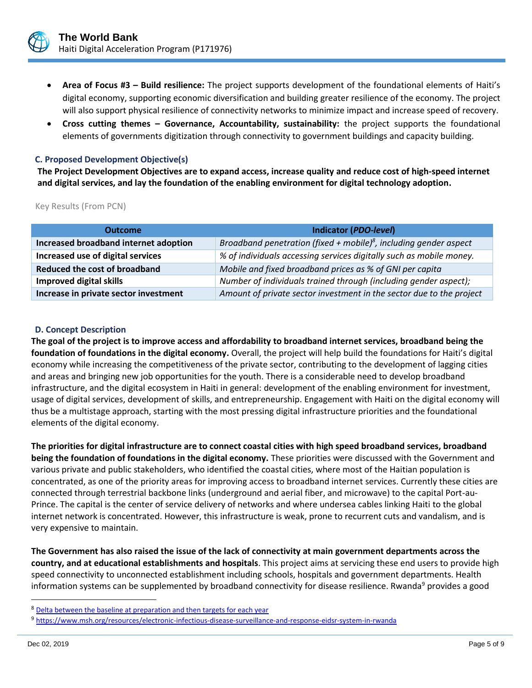

- **Area of Focus #3 – Build resilience:** The project supports development of the foundational elements of Haiti's digital economy, supporting economic diversification and building greater resilience of the economy. The project will also support physical resilience of connectivity networks to minimize impact and increase speed of recovery.
- **Cross cutting themes – Governance, Accountability, sustainability:** the project supports the foundational elements of governments digitization through connectivity to government buildings and capacity building.

#### **C. Proposed Development Objective(s)**

**The Project Development Objectives are to expand access, increase quality and reduce cost of high-speed internet and digital services, and lay the foundation of the enabling environment for digital technology adoption.**

Key Results (From PCN)

| <b>Outcome</b>                        | <b>Indicator (PDO-level)</b>                                                  |
|---------------------------------------|-------------------------------------------------------------------------------|
| Increased broadband internet adoption | Broadband penetration (fixed + mobile) <sup>8</sup> , including gender aspect |
| Increased use of digital services     | % of individuals accessing services digitally such as mobile money.           |
| Reduced the cost of broadband         | Mobile and fixed broadband prices as % of GNI per capita                      |
| <b>Improved digital skills</b>        | Number of individuals trained through (including gender aspect);              |
| Increase in private sector investment | Amount of private sector investment in the sector due to the project          |

## **D. Concept Description**

**The goal of the project is to improve access and affordability to broadband internet services, broadband being the foundation of foundations in the digital economy.** Overall, the project will help build the foundations for Haiti's digital economy while increasing the competitiveness of the private sector, contributing to the development of lagging cities and areas and bringing new job opportunities for the youth. There is a considerable need to develop broadband infrastructure, and the digital ecosystem in Haiti in general: development of the enabling environment for investment, usage of digital services, development of skills, and entrepreneurship. Engagement with Haiti on the digital economy will thus be a multistage approach, starting with the most pressing digital infrastructure priorities and the foundational elements of the digital economy.

**The priorities for digital infrastructure are to connect coastal cities with high speed broadband services, broadband being the foundation of foundations in the digital economy.** These priorities were discussed with the Government and various private and public stakeholders, who identified the coastal cities, where most of the Haitian population is concentrated, as one of the priority areas for improving access to broadband internet services. Currently these cities are connected through terrestrial backbone links (underground and aerial fiber, and microwave) to the capital Port-au-Prince. The capital is the center of service delivery of networks and where undersea cables linking Haiti to the global internet network is concentrated. However, this infrastructure is weak, prone to recurrent cuts and vandalism, and is very expensive to maintain.

**The Government has also raised the issue of the lack of connectivity at main government departments across the country, and at educational establishments and hospitals**. This project aims at servicing these end users to provide high speed connectivity to unconnected establishment including schools, hospitals and government departments. Health information systems can be supplemented by broadband connectivity for disease resilience. Rwanda<sup>9</sup> provides a good

<sup>8</sup> Delta between the baseline at preparation and then targets for each year

<sup>9</sup> https://www.msh.org/resources/electronic-infectious-disease-surveillance-and-response-eidsr-system-in-rwanda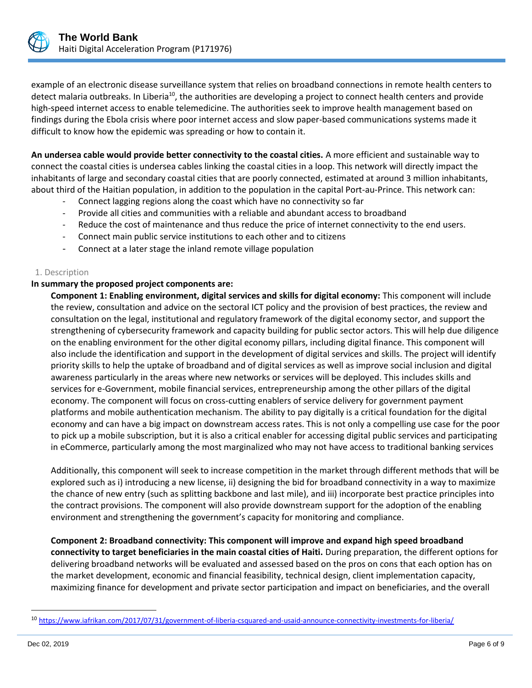

example of an electronic disease surveillance system that relies on broadband connections in remote health centers to detect malaria outbreaks. In Liberia<sup>10</sup>, the authorities are developing a project to connect health centers and provide high-speed internet access to enable telemedicine. The authorities seek to improve health management based on findings during the Ebola crisis where poor internet access and slow paper-based communications systems made it difficult to know how the epidemic was spreading or how to contain it.

**An undersea cable would provide better connectivity to the coastal cities.** A more efficient and sustainable way to connect the coastal cities is undersea cables linking the coastal cities in a loop. This network will directly impact the inhabitants of large and secondary coastal cities that are poorly connected, estimated at around 3 million inhabitants, about third of the Haitian population, in addition to the population in the capital Port-au-Prince. This network can:

- Connect lagging regions along the coast which have no connectivity so far
- Provide all cities and communities with a reliable and abundant access to broadband
- Reduce the cost of maintenance and thus reduce the price of internet connectivity to the end users.
- Connect main public service institutions to each other and to citizens
- Connect at a later stage the inland remote village population

## 1. Description

#### **In summary the proposed project components are:**

**Component 1: Enabling environment, digital services and skills for digital economy:** This component will include the review, consultation and advice on the sectoral ICT policy and the provision of best practices, the review and consultation on the legal, institutional and regulatory framework of the digital economy sector, and support the strengthening of cybersecurity framework and capacity building for public sector actors. This will help due diligence on the enabling environment for the other digital economy pillars, including digital finance. This component will also include the identification and support in the development of digital services and skills. The project will identify priority skills to help the uptake of broadband and of digital services as well as improve social inclusion and digital awareness particularly in the areas where new networks or services will be deployed. This includes skills and services for e-Government, mobile financial services, entrepreneurship among the other pillars of the digital economy. The component will focus on cross-cutting enablers of service delivery for government payment platforms and mobile authentication mechanism. The ability to pay digitally is a critical foundation for the digital economy and can have a big impact on downstream access rates. This is not only a compelling use case for the poor to pick up a mobile subscription, but it is also a critical enabler for accessing digital public services and participating in eCommerce, particularly among the most marginalized who may not have access to traditional banking services

Additionally, this component will seek to increase competition in the market through different methods that will be explored such as i) introducing a new license, ii) designing the bid for broadband connectivity in a way to maximize the chance of new entry (such as splitting backbone and last mile), and iii) incorporate best practice principles into the contract provisions. The component will also provide downstream support for the adoption of the enabling environment and strengthening the government's capacity for monitoring and compliance.

**Component 2: Broadband connectivity: This component will improve and expand high speed broadband connectivity to target beneficiaries in the main coastal cities of Haiti.** During preparation, the different options for delivering broadband networks will be evaluated and assessed based on the pros on cons that each option has on the market development, economic and financial feasibility, technical design, client implementation capacity, maximizing finance for development and private sector participation and impact on beneficiaries, and the overall

<sup>10</sup> https://www.iafrikan.com/2017/07/31/government-of-liberia-csquared-and-usaid-announce-connectivity-investments-for-liberia/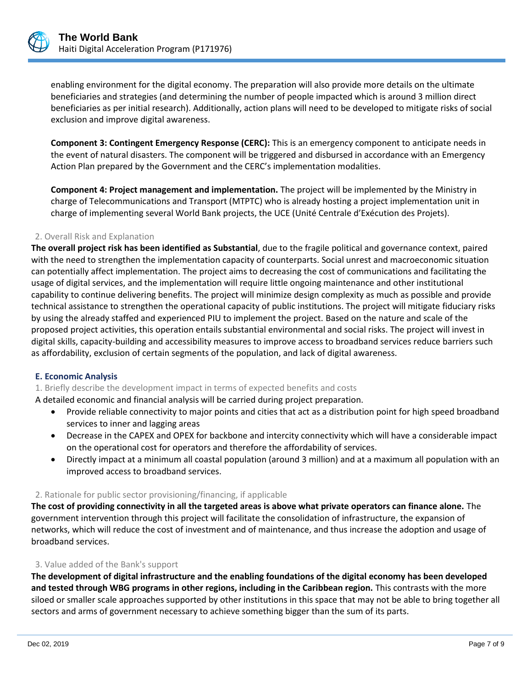

enabling environment for the digital economy. The preparation will also provide more details on the ultimate beneficiaries and strategies (and determining the number of people impacted which is around 3 million direct beneficiaries as per initial research). Additionally, action plans will need to be developed to mitigate risks of social exclusion and improve digital awareness.

**Component 3: Contingent Emergency Response (CERC):** This is an emergency component to anticipate needs in the event of natural disasters. The component will be triggered and disbursed in accordance with an Emergency Action Plan prepared by the Government and the CERC's implementation modalities.

**Component 4: Project management and implementation.** The project will be implemented by the Ministry in charge of Telecommunications and Transport (MTPTC) who is already hosting a project implementation unit in charge of implementing several World Bank projects, the UCE (Unité Centrale d'Exécution des Projets).

## 2. Overall Risk and Explanation

**The overall project risk has been identified as Substantial**, due to the fragile political and governance context, paired with the need to strengthen the implementation capacity of counterparts. Social unrest and macroeconomic situation can potentially affect implementation. The project aims to decreasing the cost of communications and facilitating the usage of digital services, and the implementation will require little ongoing maintenance and other institutional capability to continue delivering benefits. The project will minimize design complexity as much as possible and provide technical assistance to strengthen the operational capacity of public institutions. The project will mitigate fiduciary risks by using the already staffed and experienced PIU to implement the project. Based on the nature and scale of the proposed project activities, this operation entails substantial environmental and social risks. The project will invest in digital skills, capacity-building and accessibility measures to improve access to broadband services reduce barriers such as affordability, exclusion of certain segments of the population, and lack of digital awareness.

## **E. Economic Analysis**

## 1. Briefly describe the development impact in terms of expected benefits and costs

A detailed economic and financial analysis will be carried during project preparation.

- Provide reliable connectivity to major points and cities that act as a distribution point for high speed broadband services to inner and lagging areas
- Decrease in the CAPEX and OPEX for backbone and intercity connectivity which will have a considerable impact on the operational cost for operators and therefore the affordability of services.
- Directly impact at a minimum all coastal population (around 3 million) and at a maximum all population with an improved access to broadband services.

## 2. Rationale for public sector provisioning/financing, if applicable

**The cost of providing connectivity in all the targeted areas is above what private operators can finance alone.** The government intervention through this project will facilitate the consolidation of infrastructure, the expansion of networks, which will reduce the cost of investment and of maintenance, and thus increase the adoption and usage of broadband services.

#### 3. Value added of the Bank's support

**The development of digital infrastructure and the enabling foundations of the digital economy has been developed and tested through WBG programs in other regions, including in the Caribbean region.** This contrasts with the more siloed or smaller scale approaches supported by other institutions in this space that may not be able to bring together all sectors and arms of government necessary to achieve something bigger than the sum of its parts.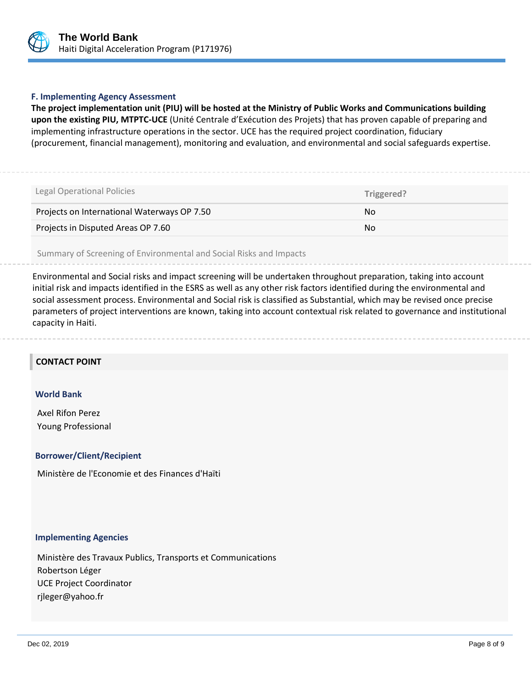

#### **F. Implementing Agency Assessment**

**The project implementation unit (PIU) will be hosted at the Ministry of Public Works and Communications building upon the existing PIU, MTPTC-UCE** (Unité Centrale d'Exécution des Projets) that has proven capable of preparing and implementing infrastructure operations in the sector. UCE has the required project coordination, fiduciary (procurement, financial management), monitoring and evaluation, and environmental and social safeguards expertise.

| Legal Operational Policies                  | Triggered? |
|---------------------------------------------|------------|
| Projects on International Waterways OP 7.50 | No.        |
| Projects in Disputed Areas OP 7.60          | No.        |

Summary of Screening of Environmental and Social Risks and Impacts

Environmental and Social risks and impact screening will be undertaken throughout preparation, taking into account initial risk and impacts identified in the ESRS as well as any other risk factors identified during the environmental and social assessment process. Environmental and Social risk is classified as Substantial, which may be revised once precise parameters of project interventions are known, taking into account contextual risk related to governance and institutional capacity in Haiti.

#### **CONTACT POINT**

#### **World Bank**

Axel Rifon Perez Young Professional

#### **Borrower/Client/Recipient**

Ministère de l'Economie et des Finances d'Haïti

#### **Implementing Agencies**

Ministère des Travaux Publics, Transports et Communications Robertson Léger UCE Project Coordinator rjleger@yahoo.fr